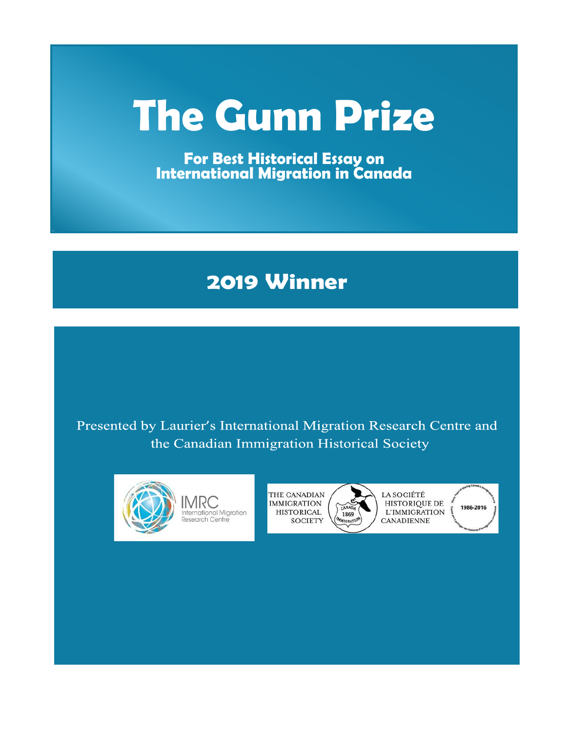# **The Gunn Prize**

**For Best Historical Essay on International Migration in Canada**

# **2019 Winner**

Presented by Laurier's International Migration Research Centre and the Canadian Immigration Historical Society



THE CANADIAN **IMMIGRATION HISTORICAL SOCIETY** 

1869 **TIGRA** 

LA SOCIÉTÉ HISTORIQUE DE L'IMMIGRATION **CANADIENNE** 

1986-2016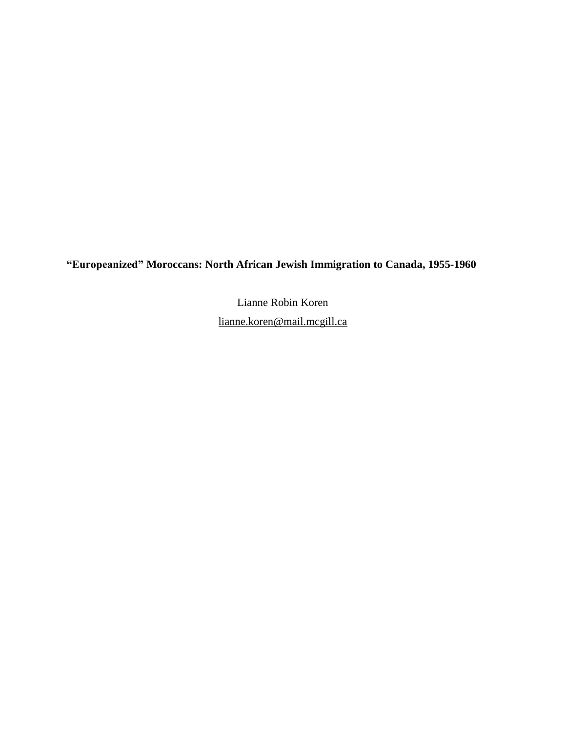**"Europeanized" Moroccans: North African Jewish Immigration to Canada, 1955-1960**

Lianne Robin Koren [lianne.koren@mail.mcgill.ca](mailto:lianne.koren@mail.mcgill.ca)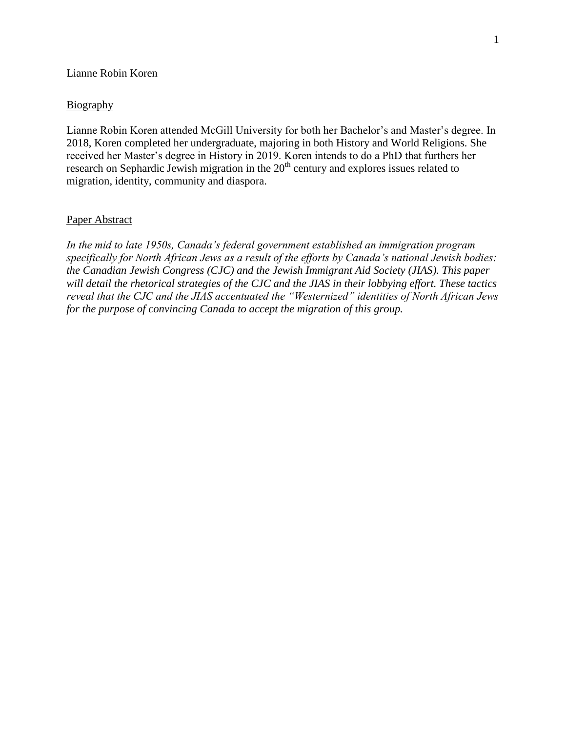# Lianne Robin Koren

# Biography

Lianne Robin Koren attended McGill University for both her Bachelor's and Master's degree. In 2018, Koren completed her undergraduate, majoring in both History and World Religions. She received her Master's degree in History in 2019. Koren intends to do a PhD that furthers her research on Sephardic Jewish migration in the  $20<sup>th</sup>$  century and explores issues related to migration, identity, community and diaspora.

#### Paper Abstract

*In the mid to late 1950s, Canada's federal government established an immigration program specifically for North African Jews as a result of the efforts by Canada's national Jewish bodies: the Canadian Jewish Congress (CJC) and the Jewish Immigrant Aid Society (JIAS). This paper will detail the rhetorical strategies of the CJC and the JIAS in their lobbying effort. These tactics reveal that the CJC and the JIAS accentuated the "Westernized" identities of North African Jews for the purpose of convincing Canada to accept the migration of this group.*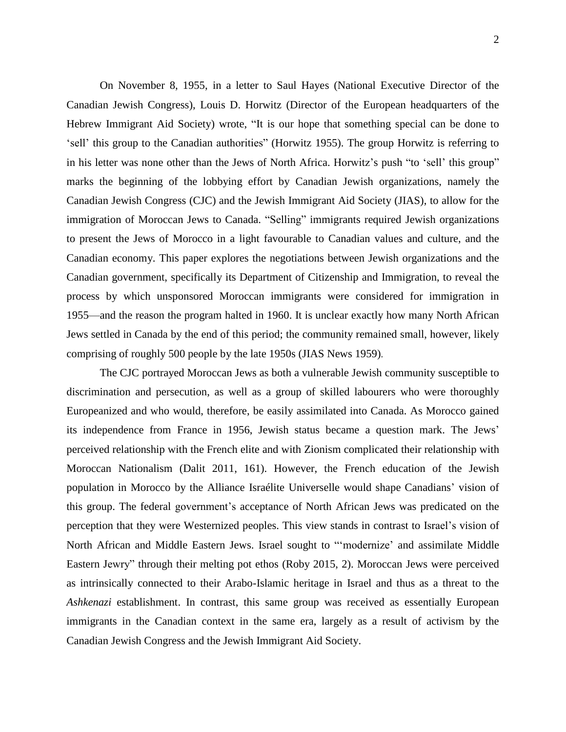On November 8, 1955, in a letter to Saul Hayes (National Executive Director of the Canadian Jewish Congress), Louis D. Horwitz (Director of the European headquarters of the Hebrew Immigrant Aid Society) wrote, "It is our hope that something special can be done to 'sell' this group to the Canadian authorities" (Horwitz 1955). The group Horwitz is referring to in his letter was none other than the Jews of North Africa. Horwitz's push "to 'sell' this group" marks the beginning of the lobbying effort by Canadian Jewish organizations, namely the Canadian Jewish Congress (CJC) and the Jewish Immigrant Aid Society (JIAS), to allow for the immigration of Moroccan Jews to Canada. "Selling" immigrants required Jewish organizations to present the Jews of Morocco in a light favourable to Canadian values and culture, and the Canadian economy. This paper explores the negotiations between Jewish organizations and the Canadian government, specifically its Department of Citizenship and Immigration, to reveal the process by which unsponsored Moroccan immigrants were considered for immigration in 1955—and the reason the program halted in 1960. It is unclear exactly how many North African Jews settled in Canada by the end of this period; the community remained small, however, likely comprising of roughly 500 people by the late 1950s (JIAS News 1959).

The CJC portrayed Moroccan Jews as both a vulnerable Jewish community susceptible to discrimination and persecution, as well as a group of skilled labourers who were thoroughly Europeanized and who would, therefore, be easily assimilated into Canada. As Morocco gained its independence from France in 1956, Jewish status became a question mark. The Jews' perceived relationship with the French elite and with Zionism complicated their relationship with Moroccan Nationalism (Dalit 2011, 161). However, the French education of the Jewish population in Morocco by the Alliance Israélite Universelle would shape Canadians' vision of this group. The federal government's acceptance of North African Jews was predicated on the perception that they were Westernized peoples. This view stands in contrast to Israel's vision of North African and Middle Eastern Jews. Israel sought to "'modernize' and assimilate Middle Eastern Jewry" through their melting pot ethos (Roby 2015, 2). Moroccan Jews were perceived as intrinsically connected to their Arabo-Islamic heritage in Israel and thus as a threat to the *Ashkenazi* establishment. In contrast, this same group was received as essentially European immigrants in the Canadian context in the same era, largely as a result of activism by the Canadian Jewish Congress and the Jewish Immigrant Aid Society.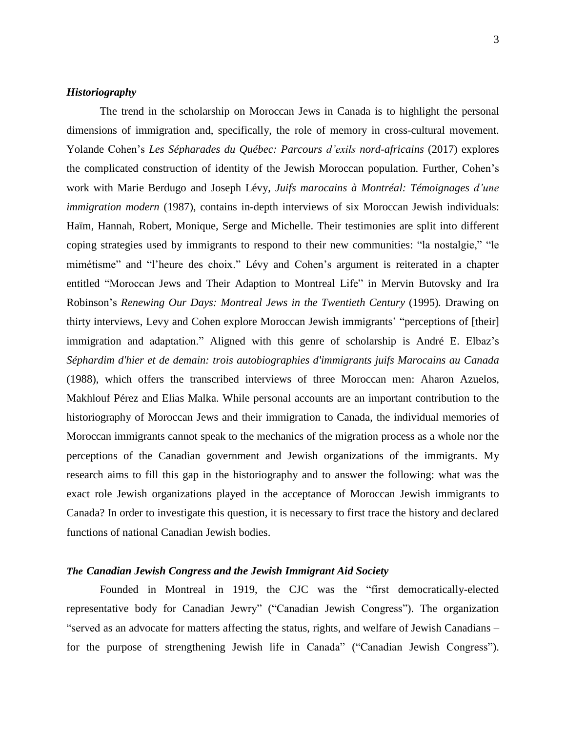# *Historiography*

The trend in the scholarship on Moroccan Jews in Canada is to highlight the personal dimensions of immigration and, specifically, the role of memory in cross-cultural movement. Yolande Cohen's *Les Sépharades du Québec: Parcours d'exils nord-africains* (2017) explores the complicated construction of identity of the Jewish Moroccan population. Further, Cohen's work with Marie Berdugo and Joseph Lévy, *Juifs marocains à Montréal: Témoignages d'une immigration modern* (1987), contains in-depth interviews of six Moroccan Jewish individuals: Haïm, Hannah, Robert, Monique, Serge and Michelle. Their testimonies are split into different coping strategies used by immigrants to respond to their new communities: "la nostalgie," "le mimétisme" and "l'heure des choix." Lévy and Cohen's argument is reiterated in a chapter entitled "Moroccan Jews and Their Adaption to Montreal Life" in Mervin Butovsky and Ira Robinson's *Renewing Our Days: Montreal Jews in the Twentieth Century* (1995)*.* Drawing on thirty interviews, Levy and Cohen explore Moroccan Jewish immigrants' "perceptions of [their] immigration and adaptation." Aligned with this genre of scholarship is André E. Elbaz's *Séphardim d'hier et de demain: trois autobiographies d'immigrants juifs Marocains au Canada* (1988), which offers the transcribed interviews of three Moroccan men: Aharon Azuelos, Makhlouf Pérez and Elias Malka. While personal accounts are an important contribution to the historiography of Moroccan Jews and their immigration to Canada, the individual memories of Moroccan immigrants cannot speak to the mechanics of the migration process as a whole nor the perceptions of the Canadian government and Jewish organizations of the immigrants. My research aims to fill this gap in the historiography and to answer the following: what was the exact role Jewish organizations played in the acceptance of Moroccan Jewish immigrants to Canada? In order to investigate this question, it is necessary to first trace the history and declared functions of national Canadian Jewish bodies.

#### *The Canadian Jewish Congress and the Jewish Immigrant Aid Society*

Founded in Montreal in 1919, the CJC was the "first democratically-elected representative body for Canadian Jewry" ("Canadian Jewish Congress"). The organization "served as an advocate for matters affecting the status, rights, and welfare of Jewish Canadians – for the purpose of strengthening Jewish life in Canada" ("Canadian Jewish Congress").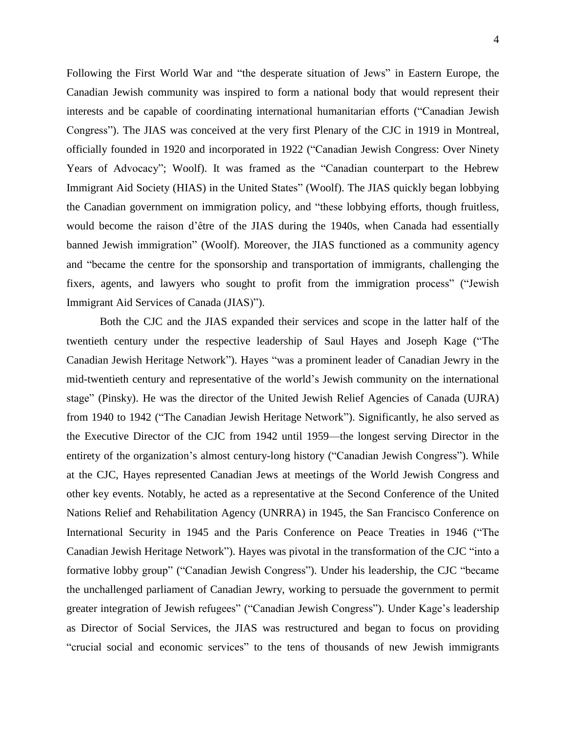Following the First World War and "the desperate situation of Jews" in Eastern Europe, the Canadian Jewish community was inspired to form a national body that would represent their interests and be capable of coordinating international humanitarian efforts ("Canadian Jewish Congress"). The JIAS was conceived at the very first Plenary of the CJC in 1919 in Montreal, officially founded in 1920 and incorporated in 1922 ("Canadian Jewish Congress: Over Ninety Years of Advocacy"; Woolf). It was framed as the "Canadian counterpart to the Hebrew Immigrant Aid Society (HIAS) in the United States" (Woolf). The JIAS quickly began lobbying the Canadian government on immigration policy, and "these lobbying efforts, though fruitless, would become the raison d'être of the JIAS during the 1940s, when Canada had essentially banned Jewish immigration" (Woolf). Moreover, the JIAS functioned as a community agency and "became the centre for the sponsorship and transportation of immigrants, challenging the fixers, agents, and lawyers who sought to profit from the immigration process" ("Jewish Immigrant Aid Services of Canada (JIAS)").

Both the CJC and the JIAS expanded their services and scope in the latter half of the twentieth century under the respective leadership of Saul Hayes and Joseph Kage ("The Canadian Jewish Heritage Network"). Hayes "was a prominent leader of Canadian Jewry in the mid-twentieth century and representative of the world's Jewish community on the international stage" (Pinsky). He was the director of the United Jewish Relief Agencies of Canada (UJRA) from 1940 to 1942 ("The Canadian Jewish Heritage Network"). Significantly, he also served as the Executive Director of the CJC from 1942 until 1959—the longest serving Director in the entirety of the organization's almost century-long history ("Canadian Jewish Congress"). While at the CJC, Hayes represented Canadian Jews at meetings of the World Jewish Congress and other key events. Notably, he acted as a representative at the Second Conference of the United Nations Relief and Rehabilitation Agency (UNRRA) in 1945, the San Francisco Conference on International Security in 1945 and the Paris Conference on Peace Treaties in 1946 ("The Canadian Jewish Heritage Network"). Hayes was pivotal in the transformation of the CJC "into a formative lobby group" ("Canadian Jewish Congress"). Under his leadership, the CJC "became the unchallenged parliament of Canadian Jewry, working to persuade the government to permit greater integration of Jewish refugees" ("Canadian Jewish Congress"). Under Kage's leadership as Director of Social Services, the JIAS was restructured and began to focus on providing "crucial social and economic services" to the tens of thousands of new Jewish immigrants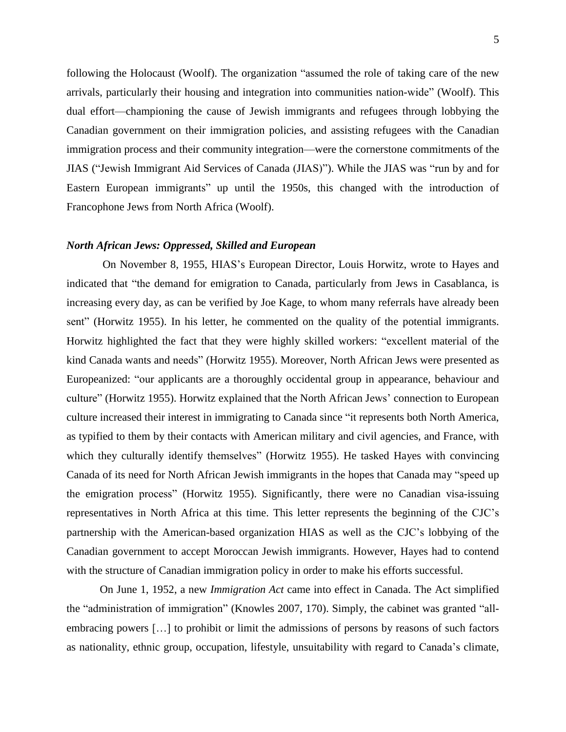following the Holocaust (Woolf). The organization "assumed the role of taking care of the new arrivals, particularly their housing and integration into communities nation-wide" (Woolf). This dual effort—championing the cause of Jewish immigrants and refugees through lobbying the Canadian government on their immigration policies, and assisting refugees with the Canadian immigration process and their community integration—were the cornerstone commitments of the JIAS ("Jewish Immigrant Aid Services of Canada (JIAS)"). While the JIAS was "run by and for Eastern European immigrants" up until the 1950s, this changed with the introduction of Francophone Jews from North Africa (Woolf).

#### *North African Jews: Oppressed, Skilled and European*

On November 8, 1955, HIAS's European Director, Louis Horwitz, wrote to Hayes and indicated that "the demand for emigration to Canada, particularly from Jews in Casablanca, is increasing every day, as can be verified by Joe Kage, to whom many referrals have already been sent" (Horwitz 1955). In his letter, he commented on the quality of the potential immigrants. Horwitz highlighted the fact that they were highly skilled workers: "excellent material of the kind Canada wants and needs" (Horwitz 1955). Moreover, North African Jews were presented as Europeanized: "our applicants are a thoroughly occidental group in appearance, behaviour and culture" (Horwitz 1955). Horwitz explained that the North African Jews' connection to European culture increased their interest in immigrating to Canada since "it represents both North America, as typified to them by their contacts with American military and civil agencies, and France, with which they culturally identify themselves" (Horwitz 1955). He tasked Hayes with convincing Canada of its need for North African Jewish immigrants in the hopes that Canada may "speed up the emigration process" (Horwitz 1955). Significantly, there were no Canadian visa-issuing representatives in North Africa at this time. This letter represents the beginning of the CJC's partnership with the American-based organization HIAS as well as the CJC's lobbying of the Canadian government to accept Moroccan Jewish immigrants. However, Hayes had to contend with the structure of Canadian immigration policy in order to make his efforts successful.

On June 1, 1952, a new *Immigration Act* came into effect in Canada. The Act simplified the "administration of immigration" (Knowles 2007, 170). Simply, the cabinet was granted "allembracing powers […] to prohibit or limit the admissions of persons by reasons of such factors as nationality, ethnic group, occupation, lifestyle, unsuitability with regard to Canada's climate,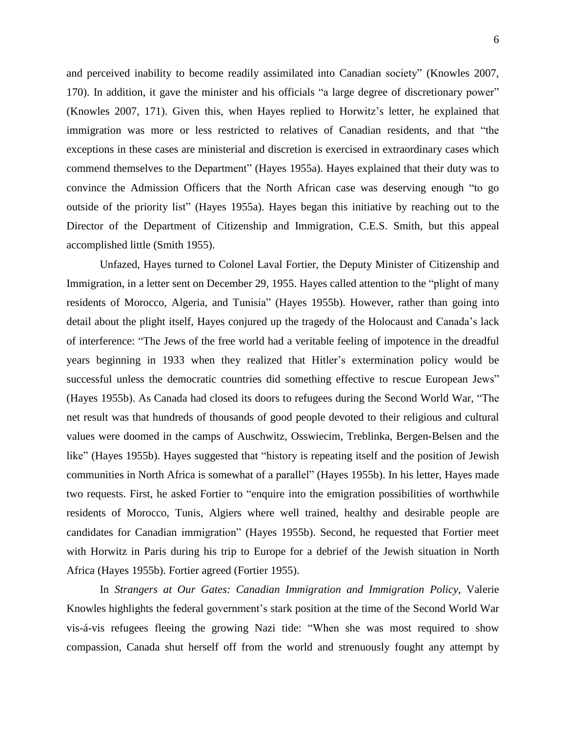and perceived inability to become readily assimilated into Canadian society" (Knowles 2007, 170). In addition, it gave the minister and his officials "a large degree of discretionary power" (Knowles 2007, 171). Given this, when Hayes replied to Horwitz's letter, he explained that immigration was more or less restricted to relatives of Canadian residents, and that "the exceptions in these cases are ministerial and discretion is exercised in extraordinary cases which commend themselves to the Department" (Hayes 1955a). Hayes explained that their duty was to convince the Admission Officers that the North African case was deserving enough "to go outside of the priority list" (Hayes 1955a). Hayes began this initiative by reaching out to the Director of the Department of Citizenship and Immigration, C.E.S. Smith, but this appeal accomplished little (Smith 1955).

Unfazed, Hayes turned to Colonel Laval Fortier, the Deputy Minister of Citizenship and Immigration, in a letter sent on December 29, 1955. Hayes called attention to the "plight of many residents of Morocco, Algeria, and Tunisia" (Hayes 1955b). However, rather than going into detail about the plight itself, Hayes conjured up the tragedy of the Holocaust and Canada's lack of interference: "The Jews of the free world had a veritable feeling of impotence in the dreadful years beginning in 1933 when they realized that Hitler's extermination policy would be successful unless the democratic countries did something effective to rescue European Jews" (Hayes 1955b). As Canada had closed its doors to refugees during the Second World War, "The net result was that hundreds of thousands of good people devoted to their religious and cultural values were doomed in the camps of Auschwitz, Osswiecim, Treblinka, Bergen-Belsen and the like" (Hayes 1955b). Hayes suggested that "history is repeating itself and the position of Jewish communities in North Africa is somewhat of a parallel" (Hayes 1955b). In his letter, Hayes made two requests. First, he asked Fortier to "enquire into the emigration possibilities of worthwhile residents of Morocco, Tunis, Algiers where well trained, healthy and desirable people are candidates for Canadian immigration" (Hayes 1955b). Second, he requested that Fortier meet with Horwitz in Paris during his trip to Europe for a debrief of the Jewish situation in North Africa (Hayes 1955b). Fortier agreed (Fortier 1955).

In *Strangers at Our Gates: Canadian Immigration and Immigration Policy,* Valerie Knowles highlights the federal government's stark position at the time of the Second World War vis-á-vis refugees fleeing the growing Nazi tide: "When she was most required to show compassion, Canada shut herself off from the world and strenuously fought any attempt by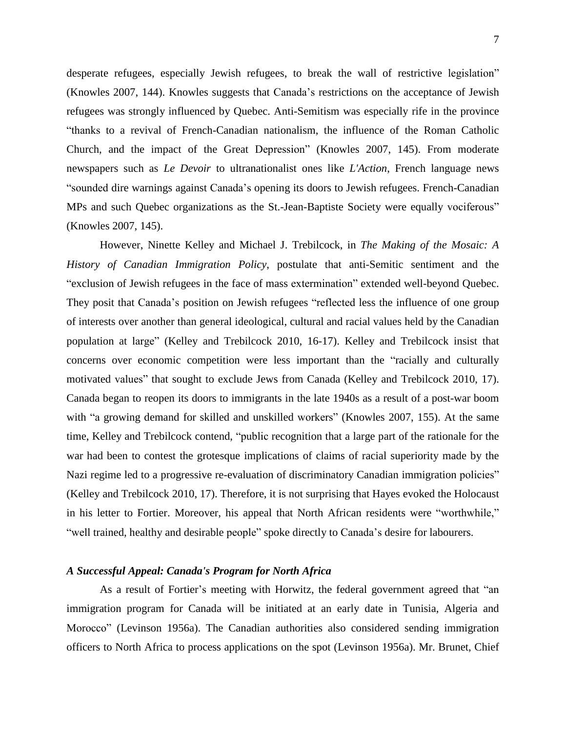desperate refugees, especially Jewish refugees, to break the wall of restrictive legislation" (Knowles 2007, 144). Knowles suggests that Canada's restrictions on the acceptance of Jewish refugees was strongly influenced by Quebec. Anti-Semitism was especially rife in the province "thanks to a revival of French-Canadian nationalism, the influence of the Roman Catholic Church, and the impact of the Great Depression" (Knowles 2007, 145). From moderate newspapers such as *Le Devoir* to ultranationalist ones like *L'Action*, French language news "sounded dire warnings against Canada's opening its doors to Jewish refugees. French-Canadian MPs and such Quebec organizations as the St.-Jean-Baptiste Society were equally vociferous" (Knowles 2007, 145).

However, Ninette Kelley and Michael J. Trebilcock, in *The Making of the Mosaic: A History of Canadian Immigration Policy*, postulate that anti-Semitic sentiment and the "exclusion of Jewish refugees in the face of mass extermination" extended well-beyond Quebec. They posit that Canada's position on Jewish refugees "reflected less the influence of one group of interests over another than general ideological, cultural and racial values held by the Canadian population at large" (Kelley and Trebilcock 2010, 16-17). Kelley and Trebilcock insist that concerns over economic competition were less important than the "racially and culturally motivated values" that sought to exclude Jews from Canada (Kelley and Trebilcock 2010, 17). Canada began to reopen its doors to immigrants in the late 1940s as a result of a post-war boom with "a growing demand for skilled and unskilled workers" (Knowles 2007, 155). At the same time, Kelley and Trebilcock contend, "public recognition that a large part of the rationale for the war had been to contest the grotesque implications of claims of racial superiority made by the Nazi regime led to a progressive re-evaluation of discriminatory Canadian immigration policies" (Kelley and Trebilcock 2010, 17). Therefore, it is not surprising that Hayes evoked the Holocaust in his letter to Fortier. Moreover, his appeal that North African residents were "worthwhile," "well trained, healthy and desirable people" spoke directly to Canada's desire for labourers.

# *A Successful Appeal: Canada's Program for North Africa*

As a result of Fortier's meeting with Horwitz, the federal government agreed that "an immigration program for Canada will be initiated at an early date in Tunisia, Algeria and Morocco" (Levinson 1956a). The Canadian authorities also considered sending immigration officers to North Africa to process applications on the spot (Levinson 1956a). Mr. Brunet, Chief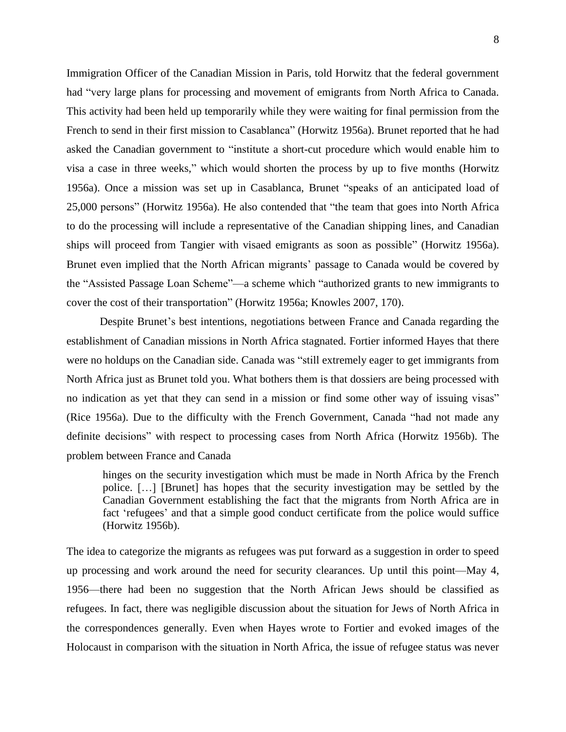Immigration Officer of the Canadian Mission in Paris, told Horwitz that the federal government had "very large plans for processing and movement of emigrants from North Africa to Canada. This activity had been held up temporarily while they were waiting for final permission from the French to send in their first mission to Casablanca" (Horwitz 1956a). Brunet reported that he had asked the Canadian government to "institute a short-cut procedure which would enable him to visa a case in three weeks," which would shorten the process by up to five months (Horwitz 1956a). Once a mission was set up in Casablanca, Brunet "speaks of an anticipated load of 25,000 persons" (Horwitz 1956a). He also contended that "the team that goes into North Africa to do the processing will include a representative of the Canadian shipping lines, and Canadian ships will proceed from Tangier with visaed emigrants as soon as possible" (Horwitz 1956a). Brunet even implied that the North African migrants' passage to Canada would be covered by the "Assisted Passage Loan Scheme"—a scheme which "authorized grants to new immigrants to cover the cost of their transportation" (Horwitz 1956a; Knowles 2007, 170).

Despite Brunet's best intentions, negotiations between France and Canada regarding the establishment of Canadian missions in North Africa stagnated. Fortier informed Hayes that there were no holdups on the Canadian side. Canada was "still extremely eager to get immigrants from North Africa just as Brunet told you. What bothers them is that dossiers are being processed with no indication as yet that they can send in a mission or find some other way of issuing visas" (Rice 1956a). Due to the difficulty with the French Government, Canada "had not made any definite decisions" with respect to processing cases from North Africa (Horwitz 1956b). The problem between France and Canada

hinges on the security investigation which must be made in North Africa by the French police. […] [Brunet] has hopes that the security investigation may be settled by the Canadian Government establishing the fact that the migrants from North Africa are in fact 'refugees' and that a simple good conduct certificate from the police would suffice (Horwitz 1956b).

The idea to categorize the migrants as refugees was put forward as a suggestion in order to speed up processing and work around the need for security clearances. Up until this point—May 4, 1956—there had been no suggestion that the North African Jews should be classified as refugees. In fact, there was negligible discussion about the situation for Jews of North Africa in the correspondences generally. Even when Hayes wrote to Fortier and evoked images of the Holocaust in comparison with the situation in North Africa, the issue of refugee status was never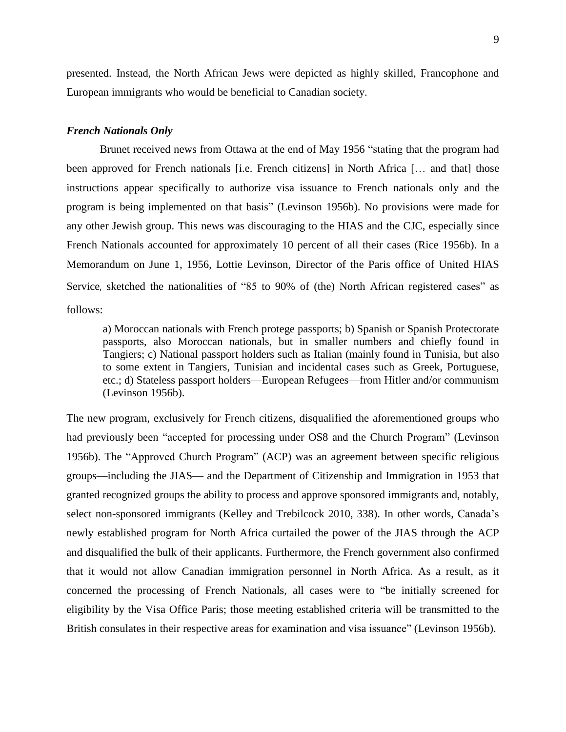presented. Instead, the North African Jews were depicted as highly skilled, Francophone and European immigrants who would be beneficial to Canadian society.

#### *French Nationals Only*

Brunet received news from Ottawa at the end of May 1956 "stating that the program had been approved for French nationals [i.e. French citizens] in North Africa [… and that] those instructions appear specifically to authorize visa issuance to French nationals only and the program is being implemented on that basis" (Levinson 1956b). No provisions were made for any other Jewish group. This news was discouraging to the HIAS and the CJC, especially since French Nationals accounted for approximately 10 percent of all their cases (Rice 1956b). In a Memorandum on June 1, 1956, Lottie Levinson, Director of the Paris office of United HIAS Service, sketched the nationalities of "85 to 90% of (the) North African registered cases" as follows:

a) Moroccan nationals with French protege passports; b) Spanish or Spanish Protectorate passports, also Moroccan nationals, but in smaller numbers and chiefly found in Tangiers; c) National passport holders such as Italian (mainly found in Tunisia, but also to some extent in Tangiers, Tunisian and incidental cases such as Greek, Portuguese, etc.; d) Stateless passport holders—European Refugees—from Hitler and/or communism (Levinson 1956b).

The new program, exclusively for French citizens, disqualified the aforementioned groups who had previously been "accepted for processing under OS8 and the Church Program" (Levinson 1956b). The "Approved Church Program" (ACP) was an agreement between specific religious groups—including the JIAS— and the Department of Citizenship and Immigration in 1953 that granted recognized groups the ability to process and approve sponsored immigrants and, notably, select non-sponsored immigrants (Kelley and Trebilcock 2010, 338). In other words, Canada's newly established program for North Africa curtailed the power of the JIAS through the ACP and disqualified the bulk of their applicants. Furthermore, the French government also confirmed that it would not allow Canadian immigration personnel in North Africa. As a result, as it concerned the processing of French Nationals, all cases were to "be initially screened for eligibility by the Visa Office Paris; those meeting established criteria will be transmitted to the British consulates in their respective areas for examination and visa issuance" (Levinson 1956b).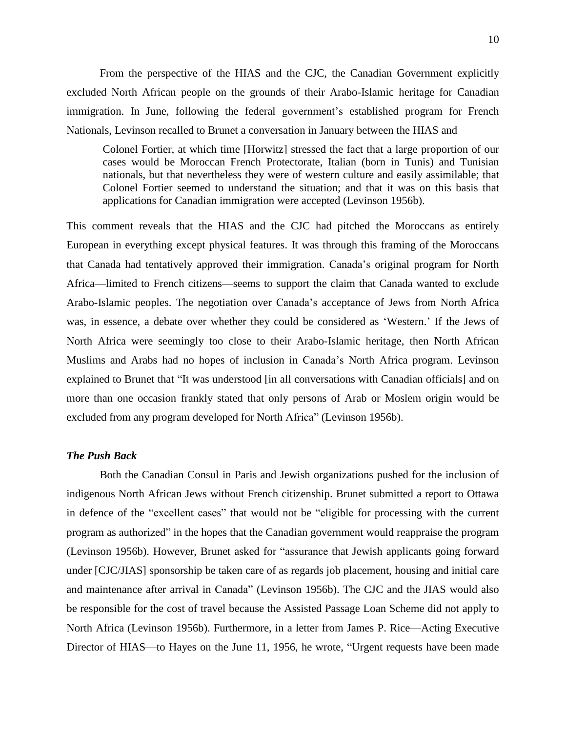From the perspective of the HIAS and the CJC, the Canadian Government explicitly excluded North African people on the grounds of their Arabo-Islamic heritage for Canadian immigration. In June, following the federal government's established program for French Nationals, Levinson recalled to Brunet a conversation in January between the HIAS and

Colonel Fortier, at which time [Horwitz] stressed the fact that a large proportion of our cases would be Moroccan French Protectorate, Italian (born in Tunis) and Tunisian nationals, but that nevertheless they were of western culture and easily assimilable; that Colonel Fortier seemed to understand the situation; and that it was on this basis that applications for Canadian immigration were accepted (Levinson 1956b).

This comment reveals that the HIAS and the CJC had pitched the Moroccans as entirely European in everything except physical features. It was through this framing of the Moroccans that Canada had tentatively approved their immigration. Canada's original program for North Africa—limited to French citizens—seems to support the claim that Canada wanted to exclude Arabo-Islamic peoples. The negotiation over Canada's acceptance of Jews from North Africa was, in essence, a debate over whether they could be considered as 'Western.' If the Jews of North Africa were seemingly too close to their Arabo-Islamic heritage, then North African Muslims and Arabs had no hopes of inclusion in Canada's North Africa program. Levinson explained to Brunet that "It was understood [in all conversations with Canadian officials] and on more than one occasion frankly stated that only persons of Arab or Moslem origin would be excluded from any program developed for North Africa" (Levinson 1956b).

## *The Push Back*

Both the Canadian Consul in Paris and Jewish organizations pushed for the inclusion of indigenous North African Jews without French citizenship. Brunet submitted a report to Ottawa in defence of the "excellent cases" that would not be "eligible for processing with the current program as authorized" in the hopes that the Canadian government would reappraise the program (Levinson 1956b). However, Brunet asked for "assurance that Jewish applicants going forward under [CJC/JIAS] sponsorship be taken care of as regards job placement, housing and initial care and maintenance after arrival in Canada" (Levinson 1956b). The CJC and the JIAS would also be responsible for the cost of travel because the Assisted Passage Loan Scheme did not apply to North Africa (Levinson 1956b). Furthermore, in a letter from James P. Rice—Acting Executive Director of HIAS—to Hayes on the June 11, 1956, he wrote, "Urgent requests have been made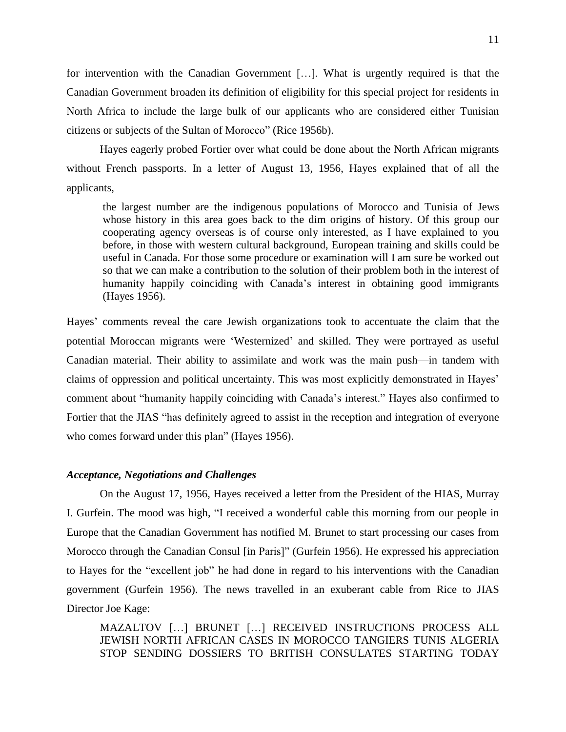for intervention with the Canadian Government […]. What is urgently required is that the Canadian Government broaden its definition of eligibility for this special project for residents in North Africa to include the large bulk of our applicants who are considered either Tunisian citizens or subjects of the Sultan of Morocco" (Rice 1956b).

Hayes eagerly probed Fortier over what could be done about the North African migrants without French passports. In a letter of August 13, 1956, Hayes explained that of all the applicants,

the largest number are the indigenous populations of Morocco and Tunisia of Jews whose history in this area goes back to the dim origins of history. Of this group our cooperating agency overseas is of course only interested, as I have explained to you before, in those with western cultural background, European training and skills could be useful in Canada. For those some procedure or examination will I am sure be worked out so that we can make a contribution to the solution of their problem both in the interest of humanity happily coinciding with Canada's interest in obtaining good immigrants (Hayes 1956).

Hayes' comments reveal the care Jewish organizations took to accentuate the claim that the potential Moroccan migrants were 'Westernized' and skilled. They were portrayed as useful Canadian material. Their ability to assimilate and work was the main push—in tandem with claims of oppression and political uncertainty. This was most explicitly demonstrated in Hayes' comment about "humanity happily coinciding with Canada's interest." Hayes also confirmed to Fortier that the JIAS "has definitely agreed to assist in the reception and integration of everyone who comes forward under this plan" (Hayes 1956).

# *Acceptance, Negotiations and Challenges*

On the August 17, 1956, Hayes received a letter from the President of the HIAS, Murray I. Gurfein. The mood was high, "I received a wonderful cable this morning from our people in Europe that the Canadian Government has notified M. Brunet to start processing our cases from Morocco through the Canadian Consul [in Paris]" (Gurfein 1956). He expressed his appreciation to Hayes for the "excellent job" he had done in regard to his interventions with the Canadian government (Gurfein 1956). The news travelled in an exuberant cable from Rice to JIAS Director Joe Kage:

MAZALTOV […] BRUNET […] RECEIVED INSTRUCTIONS PROCESS ALL JEWISH NORTH AFRICAN CASES IN MOROCCO TANGIERS TUNIS ALGERIA STOP SENDING DOSSIERS TO BRITISH CONSULATES STARTING TODAY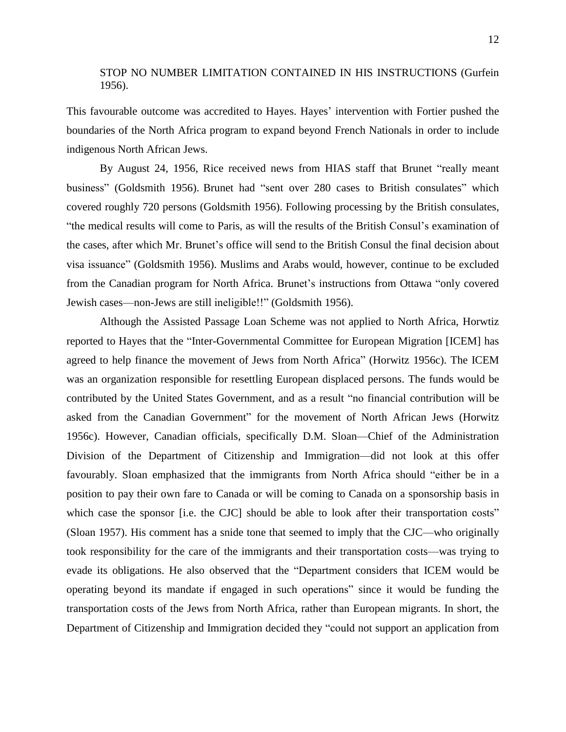# STOP NO NUMBER LIMITATION CONTAINED IN HIS INSTRUCTIONS (Gurfein 1956).

This favourable outcome was accredited to Hayes. Hayes' intervention with Fortier pushed the boundaries of the North Africa program to expand beyond French Nationals in order to include indigenous North African Jews.

By August 24, 1956, Rice received news from HIAS staff that Brunet "really meant business" (Goldsmith 1956). Brunet had "sent over 280 cases to British consulates" which covered roughly 720 persons (Goldsmith 1956). Following processing by the British consulates, "the medical results will come to Paris, as will the results of the British Consul's examination of the cases, after which Mr. Brunet's office will send to the British Consul the final decision about visa issuance" (Goldsmith 1956). Muslims and Arabs would, however, continue to be excluded from the Canadian program for North Africa. Brunet's instructions from Ottawa "only covered Jewish cases—non-Jews are still ineligible!!" (Goldsmith 1956).

Although the Assisted Passage Loan Scheme was not applied to North Africa, Horwtiz reported to Hayes that the "Inter-Governmental Committee for European Migration [ICEM] has agreed to help finance the movement of Jews from North Africa" (Horwitz 1956c). The ICEM was an organization responsible for resettling European displaced persons. The funds would be contributed by the United States Government, and as a result "no financial contribution will be asked from the Canadian Government" for the movement of North African Jews (Horwitz 1956c). However, Canadian officials, specifically D.M. Sloan—Chief of the Administration Division of the Department of Citizenship and Immigration—did not look at this offer favourably. Sloan emphasized that the immigrants from North Africa should "either be in a position to pay their own fare to Canada or will be coming to Canada on a sponsorship basis in which case the sponsor [i.e. the CJC] should be able to look after their transportation costs" (Sloan 1957). His comment has a snide tone that seemed to imply that the CJC—who originally took responsibility for the care of the immigrants and their transportation costs—was trying to evade its obligations. He also observed that the "Department considers that ICEM would be operating beyond its mandate if engaged in such operations" since it would be funding the transportation costs of the Jews from North Africa, rather than European migrants. In short, the Department of Citizenship and Immigration decided they "could not support an application from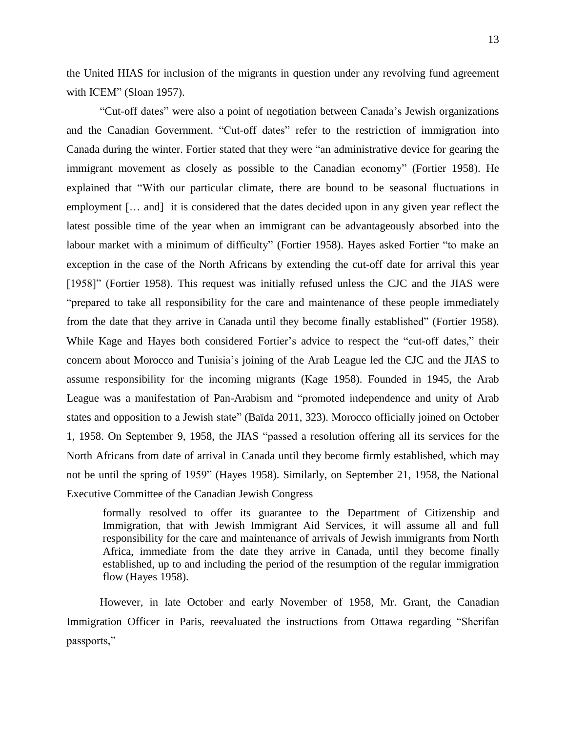the United HIAS for inclusion of the migrants in question under any revolving fund agreement with ICEM" (Sloan 1957).

"Cut-off dates" were also a point of negotiation between Canada's Jewish organizations and the Canadian Government. "Cut-off dates" refer to the restriction of immigration into Canada during the winter. Fortier stated that they were "an administrative device for gearing the immigrant movement as closely as possible to the Canadian economy" (Fortier 1958). He explained that "With our particular climate, there are bound to be seasonal fluctuations in employment [… and] it is considered that the dates decided upon in any given year reflect the latest possible time of the year when an immigrant can be advantageously absorbed into the labour market with a minimum of difficulty" (Fortier 1958). Hayes asked Fortier "to make an exception in the case of the North Africans by extending the cut-off date for arrival this year [1958]" (Fortier 1958). This request was initially refused unless the CJC and the JIAS were "prepared to take all responsibility for the care and maintenance of these people immediately from the date that they arrive in Canada until they become finally established" (Fortier 1958). While Kage and Hayes both considered Fortier's advice to respect the "cut-off dates," their concern about Morocco and Tunisia's joining of the Arab League led the CJC and the JIAS to assume responsibility for the incoming migrants (Kage 1958). Founded in 1945, the Arab League was a manifestation of Pan-Arabism and "promoted independence and unity of Arab states and opposition to a Jewish state" (Baïda 2011, 323). Morocco officially joined on October 1, 1958. On September 9, 1958, the JIAS "passed a resolution offering all its services for the North Africans from date of arrival in Canada until they become firmly established, which may not be until the spring of 1959" (Hayes 1958). Similarly, on September 21, 1958, the National Executive Committee of the Canadian Jewish Congress

formally resolved to offer its guarantee to the Department of Citizenship and Immigration, that with Jewish Immigrant Aid Services, it will assume all and full responsibility for the care and maintenance of arrivals of Jewish immigrants from North Africa, immediate from the date they arrive in Canada, until they become finally established, up to and including the period of the resumption of the regular immigration flow (Hayes 1958).

However, in late October and early November of 1958, Mr. Grant, the Canadian Immigration Officer in Paris, reevaluated the instructions from Ottawa regarding "Sherifan passports,"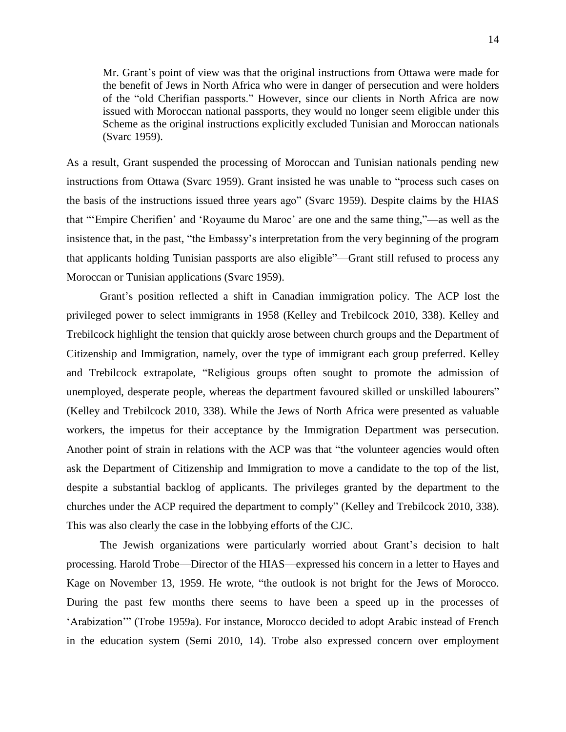Mr. Grant's point of view was that the original instructions from Ottawa were made for the benefit of Jews in North Africa who were in danger of persecution and were holders of the "old Cherifian passports." However, since our clients in North Africa are now issued with Moroccan national passports, they would no longer seem eligible under this Scheme as the original instructions explicitly excluded Tunisian and Moroccan nationals (Svarc 1959).

As a result, Grant suspended the processing of Moroccan and Tunisian nationals pending new instructions from Ottawa (Svarc 1959). Grant insisted he was unable to "process such cases on the basis of the instructions issued three years ago" (Svarc 1959). Despite claims by the HIAS that "'Empire Cherifien' and 'Royaume du Maroc' are one and the same thing,"—as well as the insistence that, in the past, "the Embassy's interpretation from the very beginning of the program that applicants holding Tunisian passports are also eligible"—Grant still refused to process any Moroccan or Tunisian applications (Svarc 1959).

Grant's position reflected a shift in Canadian immigration policy. The ACP lost the privileged power to select immigrants in 1958 (Kelley and Trebilcock 2010, 338). Kelley and Trebilcock highlight the tension that quickly arose between church groups and the Department of Citizenship and Immigration, namely, over the type of immigrant each group preferred. Kelley and Trebilcock extrapolate, "Religious groups often sought to promote the admission of unemployed, desperate people, whereas the department favoured skilled or unskilled labourers" (Kelley and Trebilcock 2010, 338). While the Jews of North Africa were presented as valuable workers, the impetus for their acceptance by the Immigration Department was persecution. Another point of strain in relations with the ACP was that "the volunteer agencies would often ask the Department of Citizenship and Immigration to move a candidate to the top of the list, despite a substantial backlog of applicants. The privileges granted by the department to the churches under the ACP required the department to comply" (Kelley and Trebilcock 2010, 338). This was also clearly the case in the lobbying efforts of the CJC.

The Jewish organizations were particularly worried about Grant's decision to halt processing. Harold Trobe—Director of the HIAS—expressed his concern in a letter to Hayes and Kage on November 13, 1959. He wrote, "the outlook is not bright for the Jews of Morocco. During the past few months there seems to have been a speed up in the processes of 'Arabization'" (Trobe 1959a). For instance, Morocco decided to adopt Arabic instead of French in the education system (Semi 2010, 14). Trobe also expressed concern over employment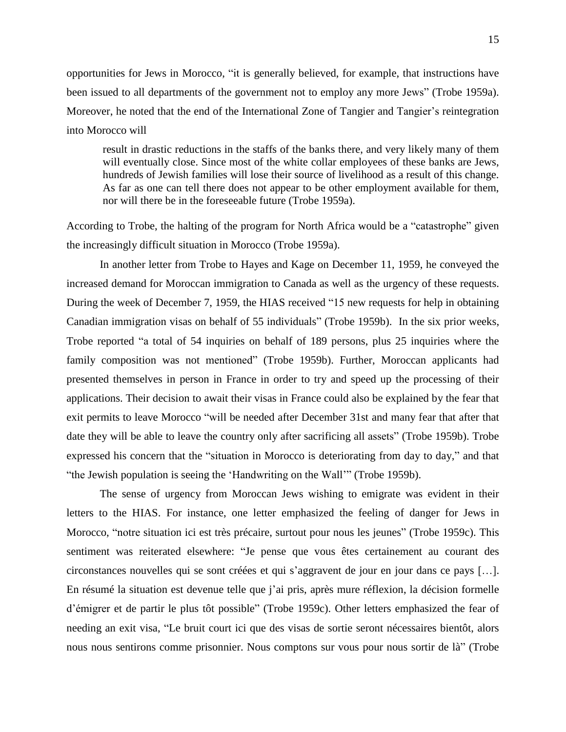opportunities for Jews in Morocco, "it is generally believed, for example, that instructions have been issued to all departments of the government not to employ any more Jews" (Trobe 1959a). Moreover, he noted that the end of the International Zone of Tangier and Tangier's reintegration into Morocco will

result in drastic reductions in the staffs of the banks there, and very likely many of them will eventually close. Since most of the white collar employees of these banks are Jews, hundreds of Jewish families will lose their source of livelihood as a result of this change. As far as one can tell there does not appear to be other employment available for them, nor will there be in the foreseeable future (Trobe 1959a).

According to Trobe, the halting of the program for North Africa would be a "catastrophe" given the increasingly difficult situation in Morocco (Trobe 1959a).

In another letter from Trobe to Hayes and Kage on December 11, 1959, he conveyed the increased demand for Moroccan immigration to Canada as well as the urgency of these requests. During the week of December 7, 1959, the HIAS received "15 new requests for help in obtaining Canadian immigration visas on behalf of 55 individuals" (Trobe 1959b). In the six prior weeks, Trobe reported "a total of 54 inquiries on behalf of 189 persons, plus 25 inquiries where the family composition was not mentioned" (Trobe 1959b). Further, Moroccan applicants had presented themselves in person in France in order to try and speed up the processing of their applications. Their decision to await their visas in France could also be explained by the fear that exit permits to leave Morocco "will be needed after December 31st and many fear that after that date they will be able to leave the country only after sacrificing all assets" (Trobe 1959b). Trobe expressed his concern that the "situation in Morocco is deteriorating from day to day," and that "the Jewish population is seeing the 'Handwriting on the Wall'" (Trobe 1959b).

The sense of urgency from Moroccan Jews wishing to emigrate was evident in their letters to the HIAS. For instance, one letter emphasized the feeling of danger for Jews in Morocco, "notre situation ici est très précaire, surtout pour nous les jeunes" (Trobe 1959c). This sentiment was reiterated elsewhere: "Je pense que vous êtes certainement au courant des circonstances nouvelles qui se sont créées et qui s'aggravent de jour en jour dans ce pays […]. En résumé la situation est devenue telle que j'ai pris, après mure réflexion, la décision formelle d'émigrer et de partir le plus tôt possible" (Trobe 1959c). Other letters emphasized the fear of needing an exit visa, "Le bruit court ici que des visas de sortie seront nécessaires bientôt, alors nous nous sentirons comme prisonnier. Nous comptons sur vous pour nous sortir de là" (Trobe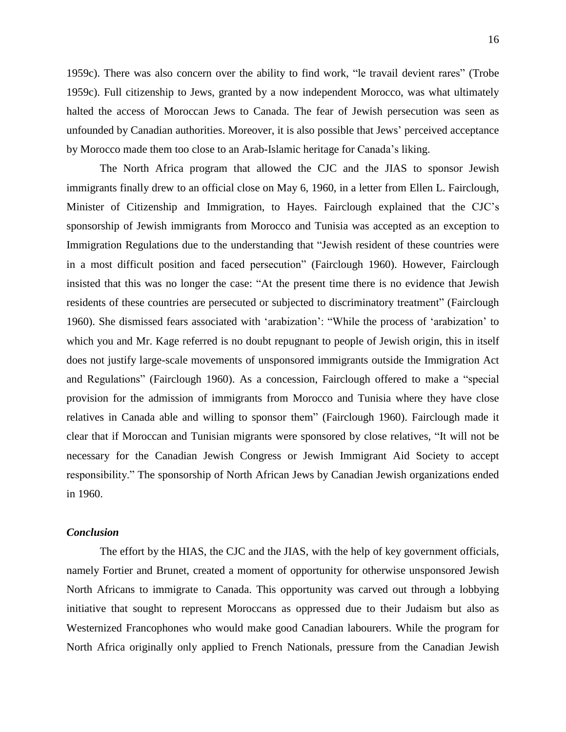1959c). There was also concern over the ability to find work, "le travail devient rares" (Trobe 1959c). Full citizenship to Jews, granted by a now independent Morocco, was what ultimately halted the access of Moroccan Jews to Canada. The fear of Jewish persecution was seen as unfounded by Canadian authorities. Moreover, it is also possible that Jews' perceived acceptance by Morocco made them too close to an Arab-Islamic heritage for Canada's liking.

The North Africa program that allowed the CJC and the JIAS to sponsor Jewish immigrants finally drew to an official close on May 6, 1960, in a letter from Ellen L. Fairclough, Minister of Citizenship and Immigration, to Hayes. Fairclough explained that the CJC's sponsorship of Jewish immigrants from Morocco and Tunisia was accepted as an exception to Immigration Regulations due to the understanding that "Jewish resident of these countries were in a most difficult position and faced persecution" (Fairclough 1960). However, Fairclough insisted that this was no longer the case: "At the present time there is no evidence that Jewish residents of these countries are persecuted or subjected to discriminatory treatment" (Fairclough 1960). She dismissed fears associated with 'arabization': "While the process of 'arabization' to which you and Mr. Kage referred is no doubt repugnant to people of Jewish origin, this in itself does not justify large-scale movements of unsponsored immigrants outside the Immigration Act and Regulations" (Fairclough 1960). As a concession, Fairclough offered to make a "special provision for the admission of immigrants from Morocco and Tunisia where they have close relatives in Canada able and willing to sponsor them" (Fairclough 1960). Fairclough made it clear that if Moroccan and Tunisian migrants were sponsored by close relatives, "It will not be necessary for the Canadian Jewish Congress or Jewish Immigrant Aid Society to accept responsibility." The sponsorship of North African Jews by Canadian Jewish organizations ended in 1960.

#### *Conclusion*

The effort by the HIAS, the CJC and the JIAS, with the help of key government officials, namely Fortier and Brunet, created a moment of opportunity for otherwise unsponsored Jewish North Africans to immigrate to Canada. This opportunity was carved out through a lobbying initiative that sought to represent Moroccans as oppressed due to their Judaism but also as Westernized Francophones who would make good Canadian labourers. While the program for North Africa originally only applied to French Nationals, pressure from the Canadian Jewish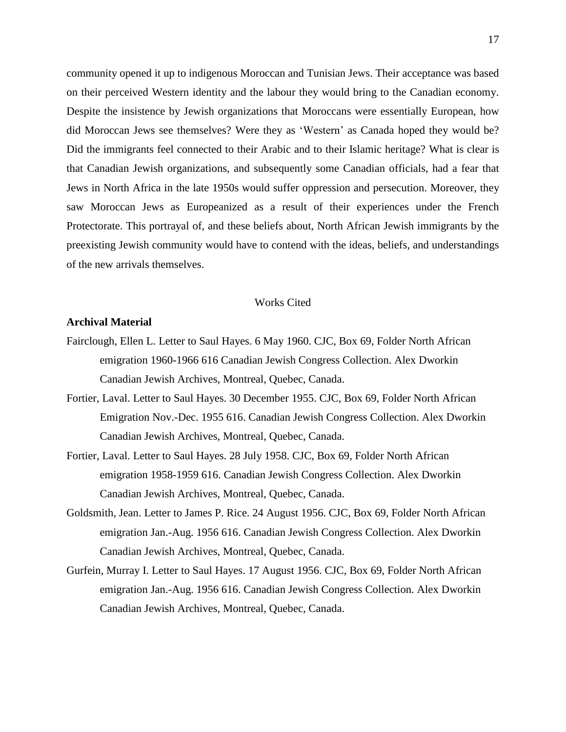community opened it up to indigenous Moroccan and Tunisian Jews. Their acceptance was based on their perceived Western identity and the labour they would bring to the Canadian economy. Despite the insistence by Jewish organizations that Moroccans were essentially European, how did Moroccan Jews see themselves? Were they as 'Western' as Canada hoped they would be? Did the immigrants feel connected to their Arabic and to their Islamic heritage? What is clear is that Canadian Jewish organizations, and subsequently some Canadian officials, had a fear that Jews in North Africa in the late 1950s would suffer oppression and persecution. Moreover, they saw Moroccan Jews as Europeanized as a result of their experiences under the French Protectorate. This portrayal of, and these beliefs about, North African Jewish immigrants by the preexisting Jewish community would have to contend with the ideas, beliefs, and understandings of the new arrivals themselves.

#### Works Cited

# **Archival Material**

- Fairclough, Ellen L. Letter to Saul Hayes. 6 May 1960. CJC, Box 69, Folder North African emigration 1960-1966 616 Canadian Jewish Congress Collection. Alex Dworkin Canadian Jewish Archives, Montreal, Quebec, Canada.
- Fortier, Laval. Letter to Saul Hayes. 30 December 1955. CJC, Box 69, Folder North African Emigration Nov.-Dec. 1955 616. Canadian Jewish Congress Collection. Alex Dworkin Canadian Jewish Archives, Montreal, Quebec, Canada.
- Fortier, Laval. Letter to Saul Hayes. 28 July 1958. CJC, Box 69, Folder North African emigration 1958-1959 616. Canadian Jewish Congress Collection. Alex Dworkin Canadian Jewish Archives, Montreal, Quebec, Canada.
- Goldsmith, Jean. Letter to James P. Rice. 24 August 1956. CJC, Box 69, Folder North African emigration Jan.-Aug. 1956 616. Canadian Jewish Congress Collection. Alex Dworkin Canadian Jewish Archives, Montreal, Quebec, Canada.
- Gurfein, Murray I. Letter to Saul Hayes. 17 August 1956. CJC, Box 69, Folder North African emigration Jan.-Aug. 1956 616. Canadian Jewish Congress Collection. Alex Dworkin Canadian Jewish Archives, Montreal, Quebec, Canada.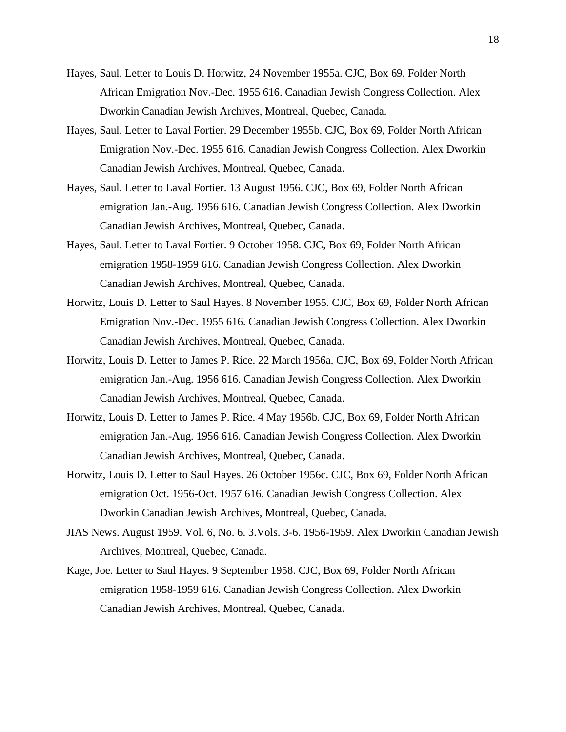- Hayes, Saul. Letter to Louis D. Horwitz, 24 November 1955a. CJC, Box 69, Folder North African Emigration Nov.-Dec. 1955 616. Canadian Jewish Congress Collection. Alex Dworkin Canadian Jewish Archives, Montreal, Quebec, Canada.
- Hayes, Saul. Letter to Laval Fortier. 29 December 1955b. CJC, Box 69, Folder North African Emigration Nov.-Dec. 1955 616. Canadian Jewish Congress Collection. Alex Dworkin Canadian Jewish Archives, Montreal, Quebec, Canada.
- Hayes, Saul. Letter to Laval Fortier. 13 August 1956. CJC, Box 69, Folder North African emigration Jan.-Aug. 1956 616. Canadian Jewish Congress Collection. Alex Dworkin Canadian Jewish Archives, Montreal, Quebec, Canada.
- Hayes, Saul. Letter to Laval Fortier. 9 October 1958. CJC, Box 69, Folder North African emigration 1958-1959 616. Canadian Jewish Congress Collection. Alex Dworkin Canadian Jewish Archives, Montreal, Quebec, Canada.
- Horwitz, Louis D. Letter to Saul Hayes. 8 November 1955. CJC, Box 69, Folder North African Emigration Nov.-Dec. 1955 616. Canadian Jewish Congress Collection. Alex Dworkin Canadian Jewish Archives, Montreal, Quebec, Canada.
- Horwitz, Louis D. Letter to James P. Rice. 22 March 1956a. CJC, Box 69, Folder North African emigration Jan.-Aug. 1956 616. Canadian Jewish Congress Collection. Alex Dworkin Canadian Jewish Archives, Montreal, Quebec, Canada.
- Horwitz, Louis D. Letter to James P. Rice. 4 May 1956b. CJC, Box 69, Folder North African emigration Jan.-Aug. 1956 616. Canadian Jewish Congress Collection. Alex Dworkin Canadian Jewish Archives, Montreal, Quebec, Canada.
- Horwitz, Louis D. Letter to Saul Hayes. 26 October 1956c. CJC, Box 69, Folder North African emigration Oct. 1956-Oct. 1957 616. Canadian Jewish Congress Collection. Alex Dworkin Canadian Jewish Archives, Montreal, Quebec, Canada.
- JIAS News. August 1959. Vol. 6, No. 6. 3.Vols. 3-6. 1956-1959. Alex Dworkin Canadian Jewish Archives, Montreal, Quebec, Canada.
- Kage, Joe. Letter to Saul Hayes. 9 September 1958. CJC, Box 69, Folder North African emigration 1958-1959 616. Canadian Jewish Congress Collection. Alex Dworkin Canadian Jewish Archives, Montreal, Quebec, Canada.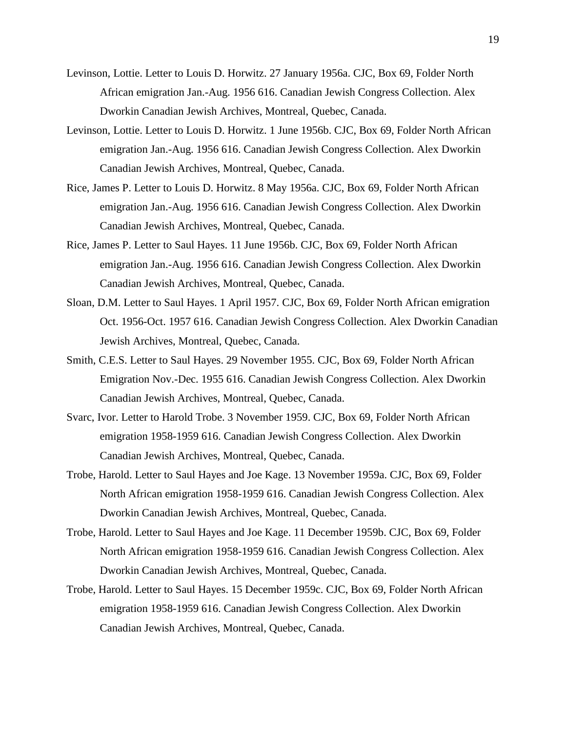- Levinson, Lottie. Letter to Louis D. Horwitz. 27 January 1956a. CJC, Box 69, Folder North African emigration Jan.-Aug. 1956 616. Canadian Jewish Congress Collection. Alex Dworkin Canadian Jewish Archives, Montreal, Quebec, Canada.
- Levinson, Lottie. Letter to Louis D. Horwitz. 1 June 1956b. CJC, Box 69, Folder North African emigration Jan.-Aug. 1956 616. Canadian Jewish Congress Collection. Alex Dworkin Canadian Jewish Archives, Montreal, Quebec, Canada.
- Rice, James P. Letter to Louis D. Horwitz. 8 May 1956a. CJC, Box 69, Folder North African emigration Jan.-Aug. 1956 616. Canadian Jewish Congress Collection. Alex Dworkin Canadian Jewish Archives, Montreal, Quebec, Canada.
- Rice, James P. Letter to Saul Hayes. 11 June 1956b. CJC, Box 69, Folder North African emigration Jan.-Aug. 1956 616. Canadian Jewish Congress Collection. Alex Dworkin Canadian Jewish Archives, Montreal, Quebec, Canada.
- Sloan, D.M. Letter to Saul Hayes. 1 April 1957. CJC, Box 69, Folder North African emigration Oct. 1956-Oct. 1957 616. Canadian Jewish Congress Collection. Alex Dworkin Canadian Jewish Archives, Montreal, Quebec, Canada.
- Smith, C.E.S. Letter to Saul Hayes. 29 November 1955. CJC, Box 69, Folder North African Emigration Nov.-Dec. 1955 616. Canadian Jewish Congress Collection. Alex Dworkin Canadian Jewish Archives, Montreal, Quebec, Canada.
- Svarc, Ivor. Letter to Harold Trobe. 3 November 1959. CJC, Box 69, Folder North African emigration 1958-1959 616. Canadian Jewish Congress Collection. Alex Dworkin Canadian Jewish Archives, Montreal, Quebec, Canada.
- Trobe, Harold. Letter to Saul Hayes and Joe Kage. 13 November 1959a. CJC, Box 69, Folder North African emigration 1958-1959 616. Canadian Jewish Congress Collection. Alex Dworkin Canadian Jewish Archives, Montreal, Quebec, Canada.
- Trobe, Harold. Letter to Saul Hayes and Joe Kage. 11 December 1959b. CJC, Box 69, Folder North African emigration 1958-1959 616. Canadian Jewish Congress Collection. Alex Dworkin Canadian Jewish Archives, Montreal, Quebec, Canada.
- Trobe, Harold. Letter to Saul Hayes. 15 December 1959c. CJC, Box 69, Folder North African emigration 1958-1959 616. Canadian Jewish Congress Collection. Alex Dworkin Canadian Jewish Archives, Montreal, Quebec, Canada.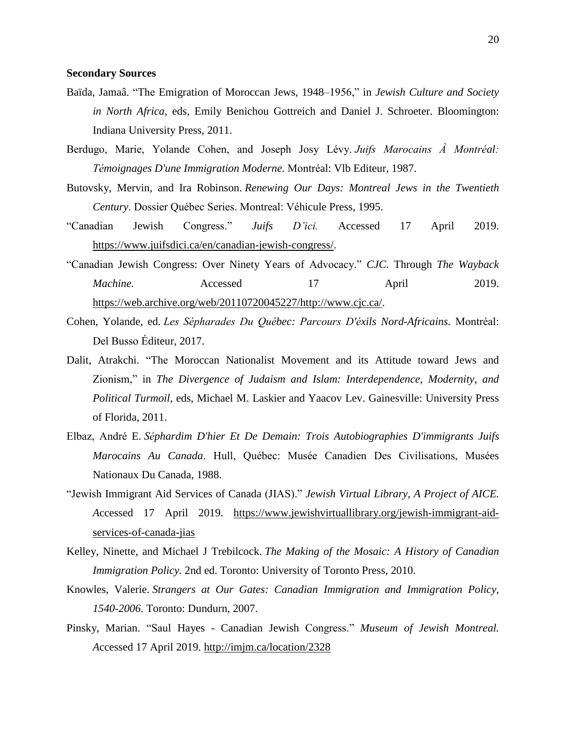#### **Secondary Sources**

- Baïda, Jamaâ. "The Emigration of Moroccan Jews, 1948–1956," in *Jewish Culture and Society in North Africa,* eds, Emily Benichou Gottreich and Daniel J. Schroeter. Bloomington: Indiana University Press, 2011.
- Berdugo, Marie, Yolande Cohen, and Joseph Josy Lévy. *Juifs Marocains À Montréal: Témoignages D'une Immigration Moderne.* Montréal: Vlb Editeur, 1987.
- Butovsky, Mervin, and Ira Robinson. *Renewing Our Days: Montreal Jews in the Twentieth Century*. Dossier Québec Series. Montreal: Véhicule Press, 1995.
- "Canadian Jewish Congress." *Juifs D'ici.* Accessed 17 April 2019. [https://www.juifsdici.ca/en/canadian-jewish-congress/.](https://www.juifsdici.ca/en/canadian-jewish-congress/)
- "Canadian Jewish Congress: Over Ninety Years of Advocacy." *CJC.* Through *The Wayback Machine.* Accessed 17 April 2019. [https://web.archive.org/web/20110720045227/http://www.cjc.ca/.](https://web.archive.org/web/20110720045227/http:/www.cjc.ca/)
- Cohen, Yolande, ed. *Les Sépharades Du Québec: Parcours D'éxils Nord-Africains.* Montréal: Del Busso Éditeur, 2017.
- Dalit, Atrakchi. "The Moroccan Nationalist Movement and its Attitude toward Jews and Zionism," in *The Divergence of Judaism and Islam: Interdependence, Modernity, and Political Turmoil,* eds, Michael M. Laskier and Yaacov Lev. Gainesville: University Press of Florida, 2011.
- Elbaz, André E. *Séphardim D'hier Et De Demain: Trois Autobiographies D'immigrants Juifs Marocains Au Canada*. Hull, Québec: Musée Canadien Des Civilisations, Musées Nationaux Du Canada, 1988.
- "Jewish Immigrant Aid Services of Canada (JIAS)." *Jewish Virtual Library, A Project of AICE. A*ccessed 17 April 2019. [https://www.jewishvirtuallibrary.org/jewish-immigrant-aid](https://www.jewishvirtuallibrary.org/jewish-immigrant-aid-services-of-canada-jias)[services-of-canada-jias](https://www.jewishvirtuallibrary.org/jewish-immigrant-aid-services-of-canada-jias)
- Kelley, Ninette, and Michael J Trebilcock. *The Making of the Mosaic: A History of Canadian Immigration Policy.* 2nd ed. Toronto: University of Toronto Press, 2010.
- Knowles, Valerie. *Strangers at Our Gates: Canadian Immigration and Immigration Policy, 1540-2006*. Toronto: Dundurn, 2007.
- Pinsky, Marian. "Saul Hayes Canadian Jewish Congress." *Museum of Jewish Montreal. A*ccessed 17 April 2019. <http://imjm.ca/location/2328>